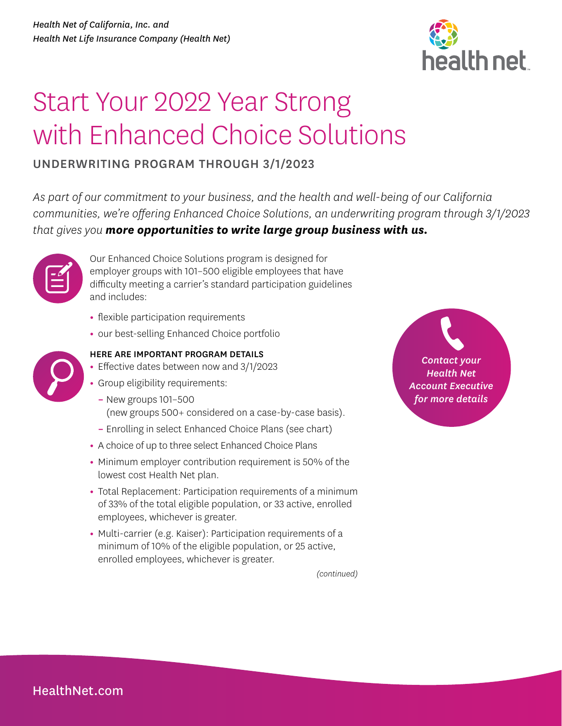

## Start Your 2022 Year Strong with Enhanced Choice Solutions

## UNDERWRITING PROGRAM THROUGH 3/1/2023

*As part of our commitment to your business, and the health and well-being of our California communities, we're offering Enhanced Choice Solutions, an underwriting program through 3/1/2023 that gives you more opportunities to write large group business with us.*



Our Enhanced Choice Solutions program is designed for employer groups with 101–500 eligible employees that have difficulty meeting a carrier's standard participation guidelines and includes:

- **•** flexible participation requirements
- **•** our best-selling Enhanced Choice portfolio



## HERE ARE IMPORTANT PROGRAM DETAILS

- **•** Effective dates between now and 3/1/2023
- **•** Group eligibility requirements:
	- **–** New groups 101–500 (new groups 500+ considered on a case-by-case basis).
	- **–** Enrolling in select Enhanced Choice Plans (see chart)
- **•** A choice of up to three select Enhanced Choice Plans
- **•** Minimum employer contribution requirement is 50% of the lowest cost Health Net plan.
- **•** Total Replacement: Participation requirements of a minimum of 33% of the total eligible population, or 33 active, enrolled employees, whichever is greater.
- **•** Multi-carrier (e.g. Kaiser): Participation requirements of a minimum of 10% of the eligible population, or 25 active, enrolled employees, whichever is greater.

*(continued)*

*Contact your Health Net Account Executive for more details*

[HealthNet.com](https://www.healthnet.com/)